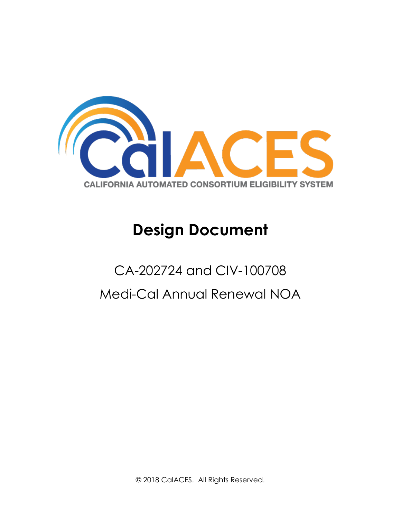

# **Design Document**

# CA-202724 and CIV-100708 Medi-Cal Annual Renewal NOA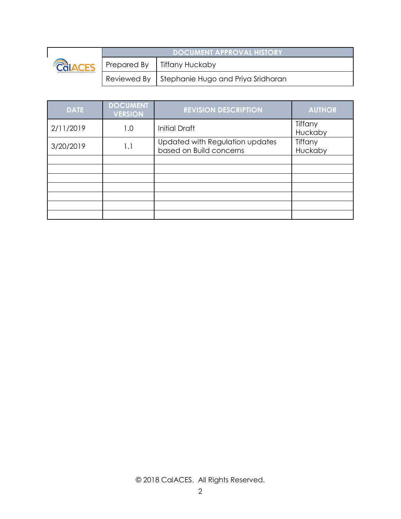

| <b>DOCUMENT APPROVAL HISTORY</b> |                                                  |  |
|----------------------------------|--------------------------------------------------|--|
|                                  | Prepared By   Tiffany Huckaby                    |  |
|                                  | Reviewed By   Stephanie Hugo and Priya Sridharan |  |

| <b>DATE</b> | <b>DOCUMENT</b><br><b>VERSION</b> | <b>REVISION DESCRIPTION</b>                                | <b>AUTHOR</b>      |
|-------------|-----------------------------------|------------------------------------------------------------|--------------------|
| 2/11/2019   | 1.0                               | <b>Initial Draft</b>                                       | Tiffany<br>Huckaby |
| 3/20/2019   | 1.1                               | Updated with Regulation updates<br>based on Build concerns | Tiffany<br>Huckaby |
|             |                                   |                                                            |                    |
|             |                                   |                                                            |                    |
|             |                                   |                                                            |                    |
|             |                                   |                                                            |                    |
|             |                                   |                                                            |                    |
|             |                                   |                                                            |                    |
|             |                                   |                                                            |                    |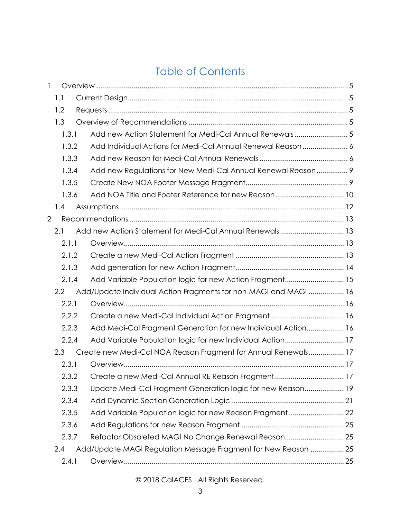## Table of Contents

| 1              |       |                                                                  |  |
|----------------|-------|------------------------------------------------------------------|--|
|                | 1.1   |                                                                  |  |
|                | 1.2   |                                                                  |  |
|                | 1.3   |                                                                  |  |
|                | 1.3.1 | Add new Action Statement for Medi-Cal Annual Renewals5           |  |
|                | 1.3.2 | Add Individual Actions for Medi-Cal Annual Renewal Reason 6      |  |
|                | 1.3.3 |                                                                  |  |
|                | 1.3.4 | Add new Regulations for New Medi-Cal Annual Renewal Reason 9     |  |
|                | 1.3.5 |                                                                  |  |
|                | 1.3.6 |                                                                  |  |
|                | 1.4   |                                                                  |  |
| $\overline{2}$ |       |                                                                  |  |
|                | 2.1   | Add new Action Statement for Medi-Cal Annual Renewals  13        |  |
|                | 2.1.1 |                                                                  |  |
|                | 2.1.2 |                                                                  |  |
|                | 2.1.3 |                                                                  |  |
|                | 2.1.4 | Add Variable Population logic for new Action Fragment 15         |  |
|                | 2.2   | Add/Update Individual Action Fragments for non-MAGI and MAGI  16 |  |
|                | 2.2.1 |                                                                  |  |
|                | 2.2.2 |                                                                  |  |
|                | 2.2.3 | Add Medi-Cal Fragment Generation for new Individual Action 16    |  |
|                | 2.2.4 | Add Variable Population logic for new Individual Action 17       |  |
|                | 2.3   | Create new Medi-Cal NOA Reason Fragment for Annual Renewals 17   |  |
|                | 2.3.1 |                                                                  |  |
|                | 2.3.2 | Create a new Medi-Cal Annual RE Reason Fragment 17               |  |
|                | 2.3.3 | Update Medi-Cal Fragment Generation logic for new Reason 19      |  |
|                | 2.3.4 |                                                                  |  |
|                | 2.3.5 |                                                                  |  |
|                | 2.3.6 |                                                                  |  |
|                | 2.3.7 | Refactor Obsoleted MAGI No Change Renewal Reason 25              |  |
|                | 2.4   | Add/Update MAGI Regulation Message Fragment for New Reason  25   |  |
|                | 2.4.1 |                                                                  |  |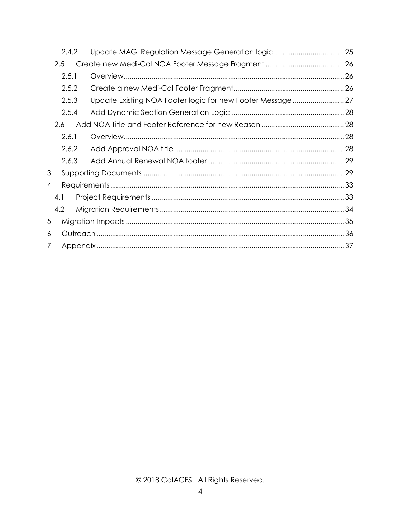|                | 2.4.2 | Update MAGI Regulation Message Generation logic 25         |  |
|----------------|-------|------------------------------------------------------------|--|
| 2.5            |       |                                                            |  |
|                | 2.5.1 |                                                            |  |
|                | 2.5.2 |                                                            |  |
|                | 2.5.3 | Update Existing NOA Footer logic for new Footer Message 27 |  |
|                | 2.5.4 |                                                            |  |
| 2.6            |       |                                                            |  |
|                | 2.6.1 |                                                            |  |
|                | 2.6.2 |                                                            |  |
|                | 2.6.3 |                                                            |  |
| 3              |       |                                                            |  |
| $\overline{4}$ |       |                                                            |  |
| 4.1            |       |                                                            |  |
| 4.2            |       |                                                            |  |
| 5              |       |                                                            |  |
| 6              |       |                                                            |  |
| 7              |       |                                                            |  |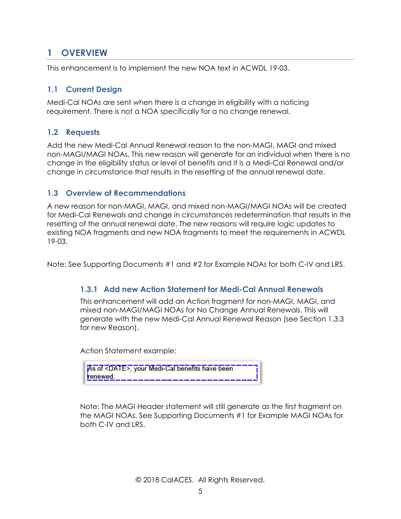## <span id="page-4-0"></span>**1 OVERVIEW**

This enhancement is to implement the new NOA text in ACWDL 19-03.

#### <span id="page-4-1"></span>**1.1 Current Design**

Medi-Cal NOAs are sent when there is a change in eligibility with a noticing requirement. There is not a NOA specifically for a no change renewal.

#### <span id="page-4-2"></span>**1.2 Requests**

Add the new Medi-Cal Annual Renewal reason to the non-MAGI, MAGI and mixed non-MAGI/MAGI NOAs. This new reason will generate for an individual when there is no change in the eligibility status or level of benefits and it is a Medi-Cal Renewal and/or change in circumstance that results in the resetting of the annual renewal date.

#### <span id="page-4-3"></span>**1.3 Overview of Recommendations**

A new reason for non-MAGI, MAGI, and mixed non-MAGI/MAGI NOAs will be created for Medi-Cal Renewals and change in circumstances redetermination that results in the resetting of the annual renewal date. The new reasons will require logic updates to existing NOA fragments and new NOA fragments to meet the requirements in ACWDL 19-03.

<span id="page-4-4"></span>Note: See Supporting Documents #1 and #2 for Example NOAs for both C-IV and LRS.

#### **1.3.1 Add new Action Statement for Medi-Cal Annual Renewals**

This enhancement will add an Action fragment for non-MAGI, MAGI, and mixed non-MAGI/MAGI NOAs for No Change Annual Renewals. This will generate with the new Medi-Cal Annual Renewal Reason (see Section 1.3.3 for new Reason).

Action Statement example:

| As of <date>, your Medi-Cal benefits have been ----;</date> |  |
|-------------------------------------------------------------|--|
|                                                             |  |

Note: The MAGI Header statement will still generate as the first fragment on the MAGI NOAs. See Supporting Documents #1 for Example MAGI NOAs for both C-IV and LRS.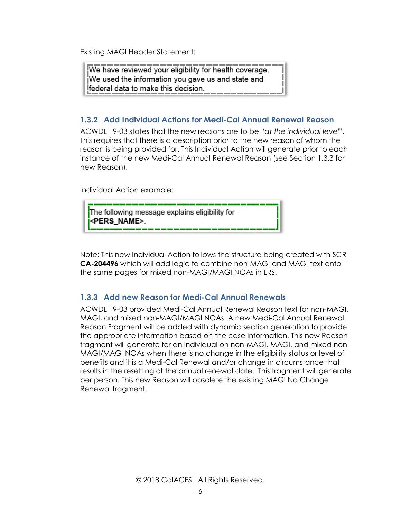Existing MAGI Header Statement:

We have reviewed your eligibility for health coverage. We used the information you gave us and state and federal data to make this decision.

#### <span id="page-5-0"></span>**1.3.2 Add Individual Actions for Medi-Cal Annual Renewal Reason**

ACWDL 19-03 states that the new reasons are to be "*at the individual level*". This requires that there is a description prior to the new reason of whom the reason is being provided for. This Individual Action will generate prior to each instance of the new Medi-Cal Annual Renewal Reason (see Section 1.3.3 for new Reason).

Individual Action example:

The following message explains eligibility for <PERS NAME>.

Note: This new Individual Action follows the structure being created with SCR **CA-204496** which will add logic to combine non-MAGI and MAGI text onto the same pages for mixed non-MAGI/MAGI NOAs in LRS.

#### <span id="page-5-1"></span>**1.3.3 Add new Reason for Medi-Cal Annual Renewals**

ACWDL 19-03 provided Medi-Cal Annual Renewal Reason text for non-MAGI, MAGI, and mixed non-MAGI/MAGI NOAs. A new Medi-Cal Annual Renewal Reason Fragment will be added with dynamic section generation to provide the appropriate information based on the case information. This new Reason fragment will generate for an individual on non-MAGI, MAGI, and mixed non-MAGI/MAGI NOAs when there is no change in the eligibility status or level of benefits and it is a Medi-Cal Renewal and/or change in circumstance that results in the resetting of the annual renewal date. This fragment will generate per person. This new Reason will obsolete the existing MAGI No Change Renewal fragment.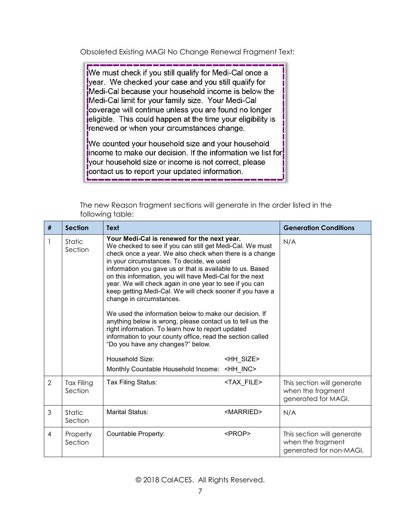Obsoleted Existing MAGI No Change Renewal Fragment Text:

We must check if you still qualify for Medi-Cal once a year. We checked your case and you still qualify for Medi-Cal because your household income is below the Medi-Cal limit for your family size. Your Medi-Cal coverage will continue unless you are found no longer jeligible. This could happen at the time your eligibility is renewed or when your circumstances change.

We counted your household size and your household income to make our decision. If the information we list for your household size or income is not correct, please contact us to report your updated information.

| # | <b>Section</b>               | <b>Text</b>                                                                                                                                                                                                                                                                                                                                                                                                                                                                                                                                                                                                                                                                                                                                                                                    |                     | <b>Generation Conditions</b>                                               |
|---|------------------------------|------------------------------------------------------------------------------------------------------------------------------------------------------------------------------------------------------------------------------------------------------------------------------------------------------------------------------------------------------------------------------------------------------------------------------------------------------------------------------------------------------------------------------------------------------------------------------------------------------------------------------------------------------------------------------------------------------------------------------------------------------------------------------------------------|---------------------|----------------------------------------------------------------------------|
| 1 | Static<br>Section            | Your Medi-Cal is renewed for the next year.<br>We checked to see if you can still get Medi-Cal. We must<br>check once a year. We also check when there is a change<br>in your circumstances. To decide, we used<br>information you gave us or that is available to us. Based<br>on this information, you will have Medi-Cal for the next<br>year. We will check again in one year to see if you can<br>keep getting Medi-Cal. We will check sooner if you have a<br>change in circumstances.<br>We used the information below to make our decision. If<br>anything below is wrong, please contact us to tell us the<br>right information. To learn how to report updated<br>information to your county office, read the section called<br>"Do you have any changes?" below.<br>Household Size: | <hh size=""></hh>   | N/A                                                                        |
|   |                              | Monthly Countable Household Income: <hh inc=""></hh>                                                                                                                                                                                                                                                                                                                                                                                                                                                                                                                                                                                                                                                                                                                                           |                     |                                                                            |
| 2 | <b>Tax Filing</b><br>Section | Tax Filing Status:                                                                                                                                                                                                                                                                                                                                                                                                                                                                                                                                                                                                                                                                                                                                                                             | <tax file=""></tax> | This section will generate<br>when the fragment<br>generated for MAGI.     |
| 3 | Static<br>Section            | <b>Marital Status:</b>                                                                                                                                                                                                                                                                                                                                                                                                                                                                                                                                                                                                                                                                                                                                                                         | <married></married> | N/A                                                                        |
| 4 | Property<br>Section          | <b>Countable Property:</b>                                                                                                                                                                                                                                                                                                                                                                                                                                                                                                                                                                                                                                                                                                                                                                     | <prop></prop>       | This section will generate<br>when the fragment<br>generated for non-MAGI. |

The new Reason fragment sections will generate in the order listed in the following table: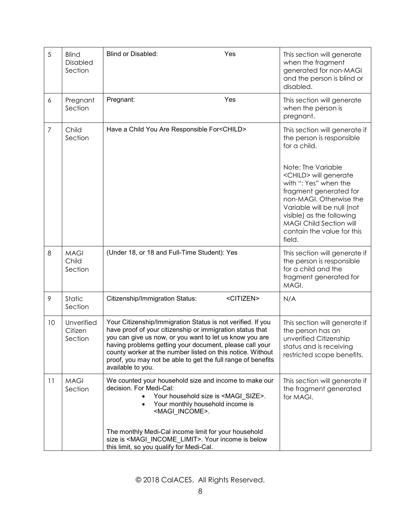| 5              | <b>Blind</b><br>Disabled<br>Section | <b>Blind or Disabled:</b><br>Yes                                                                                                                                                                                                                                                                                                                                                                  | This section will generate<br>when the fragment<br>generated for non-MAGI<br>and the person is blind or<br>disabled.                                                                                                                                                                                                                                         |
|----------------|-------------------------------------|---------------------------------------------------------------------------------------------------------------------------------------------------------------------------------------------------------------------------------------------------------------------------------------------------------------------------------------------------------------------------------------------------|--------------------------------------------------------------------------------------------------------------------------------------------------------------------------------------------------------------------------------------------------------------------------------------------------------------------------------------------------------------|
| 6              | Pregnant<br>Section                 | Pregnant:<br>Yes                                                                                                                                                                                                                                                                                                                                                                                  | This section will generate<br>when the person is<br>pregnant.                                                                                                                                                                                                                                                                                                |
| $\overline{7}$ | Child<br>Section                    | Have a Child You Are Responsible For <child></child>                                                                                                                                                                                                                                                                                                                                              | This section will generate if<br>the person is responsible<br>for a child.<br>Note: The Variable<br><child> will generate<br/>with ": Yes" when the<br/>fragment generated for<br/>non-MAGI. Otherwise the<br/>Variable will be null (not<br/>visible) as the following<br/><b>MAGI Child Section will</b><br/>contain the value for this<br/>field.</child> |
| 8              | <b>MAGI</b><br>Child<br>Section     | (Under 18, or 18 and Full-Time Student): Yes                                                                                                                                                                                                                                                                                                                                                      | This section will generate if<br>the person is responsible<br>for a child and the<br>fragment generated for<br>MAGI.                                                                                                                                                                                                                                         |
| 9              | Static<br>Section                   | Citizenship/Immigration Status:<br><citizen></citizen>                                                                                                                                                                                                                                                                                                                                            | N/A                                                                                                                                                                                                                                                                                                                                                          |
| 10             | Unverified<br>Citizen<br>Section    | Your Citizenship/Immigration Status is not verified. If you<br>have proof of your citizenship or immigration status that<br>you can give us now, or you want to let us know you are<br>having problems getting your document, please call your<br>county worker at the number listed on this notice. Without<br>proof, you may not be able to get the full range of benefits<br>available to you. | This section will generate if<br>the person has an<br>unverified Citizenship<br>status and is receiving<br>restricted scope benefits.                                                                                                                                                                                                                        |
| 11             | <b>MAGI</b><br>Section              | We counted your household size and income to make our<br>decision. For Medi-Cal:<br>Your household size is <magi_size>.<br/>Your monthly household income is<br/><magi_income>.</magi_income></magi_size>                                                                                                                                                                                         | This section will generate if<br>the fragment generated<br>for MAGI.                                                                                                                                                                                                                                                                                         |
|                |                                     | The monthly Medi-Cal income limit for your household<br>size is <magi_income_limit>. Your income is below<br/>this limit, so you qualify for Medi-Cal.</magi_income_limit>                                                                                                                                                                                                                        |                                                                                                                                                                                                                                                                                                                                                              |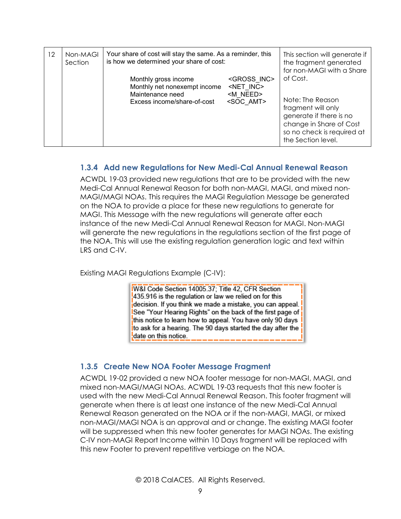| $12 \overline{ }$ | Non-MAGI<br>Section | Your share of cost will stay the same. As a reminder, this<br>is how we determined your share of cost:  |                                                                                          | This section will generate if<br>the fragment generated<br>for non-MAGI with a Share                                                                         |
|-------------------|---------------------|---------------------------------------------------------------------------------------------------------|------------------------------------------------------------------------------------------|--------------------------------------------------------------------------------------------------------------------------------------------------------------|
|                   |                     | Monthly gross income<br>Monthly net nonexempt income<br>Maintenance need<br>Excess income/share-of-cost | <gross inc=""><br/><net inc=""><br/><m need=""><br/><soc amt=""></soc></m></net></gross> | of Cost.<br>Note: The Reason<br>fragment will only<br>generate if there is no<br>change in Share of Cost<br>so no check is required at<br>the Section level. |

#### <span id="page-8-0"></span>**1.3.4 Add new Regulations for New Medi-Cal Annual Renewal Reason**

ACWDL 19-03 provided new regulations that are to be provided with the new Medi-Cal Annual Renewal Reason for both non-MAGI, MAGI, and mixed non-MAGI/MAGI NOAs. This requires the MAGI Regulation Message be generated on the NOA to provide a place for these new regulations to generate for MAGI. This Message with the new regulations will generate after each instance of the new Medi-Cal Annual Renewal Reason for MAGI. Non-MAGI will generate the new regulations in the regulations section of the first page of the NOA. This will use the existing regulation generation logic and text within LRS and C-IV.

Existing MAGI Regulations Example (C-IV):

**IW&I Code Section 14005.37; Title 42, CFR Section** 435.916 is the regulation or law we relied on for this decision. If you think we made a mistake, you can appeal. See "Your Hearing Rights" on the back of the first page of **S** this notice to learn how to appeal. You have only 90 days to ask for a hearing. The 90 days started the day after the date on this notice.

#### <span id="page-8-1"></span>**1.3.5 Create New NOA Footer Message Fragment**

ACWDL 19-02 provided a new NOA footer message for non-MAGI, MAGI, and mixed non-MAGI/MAGI NOAs. ACWDL 19-03 requests that this new footer is used with the new Medi-Cal Annual Renewal Reason. This footer fragment will generate when there is at least one instance of the new Medi-Cal Annual Renewal Reason generated on the NOA or if the non-MAGI, MAGI, or mixed non-MAGI/MAGI NOA is an approval and or change. The existing MAGI footer will be suppressed when this new footer generates for MAGI NOAs. The existing C-IV non-MAGI Report Income within 10 Days fragment will be replaced with this new Footer to prevent repetitive verbiage on the NOA.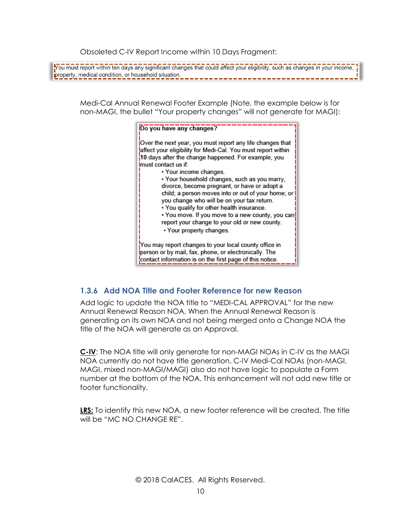Obsoleted C-IV Report Income within 10 Days Fragment:

You must report within ten days any significant changes that could affect your eligibility, such as changes in your income, property, medical condition, or household situation.

Medi-Cal Annual Renewal Footer Example (Note, the example below is for non-MAGI, the bullet "Your property changes" will not generate for MAGI):



#### <span id="page-9-0"></span>**1.3.6 Add NOA Title and Footer Reference for new Reason**

Add logic to update the NOA title to "MEDI-CAL APPROVAL" for the new Annual Renewal Reason NOA. When the Annual Renewal Reason is generating on its own NOA and not being merged onto a Change NOA the title of the NOA will generate as an Approval.

**C-IV**: The NOA title will only generate for non-MAGI NOAs in C-IV as the MAGI NOA currently do not have title generation. C-IV Medi-Cal NOAs (non-MAGI, MAGI, mixed non-MAGI/MAGI) also do not have logic to populate a Form number at the bottom of the NOA. This enhancement will not add new title or footer functionality.

**LRS:** To identify this new NOA, a new footer reference will be created. The title will be "MC NO CHANGE RE".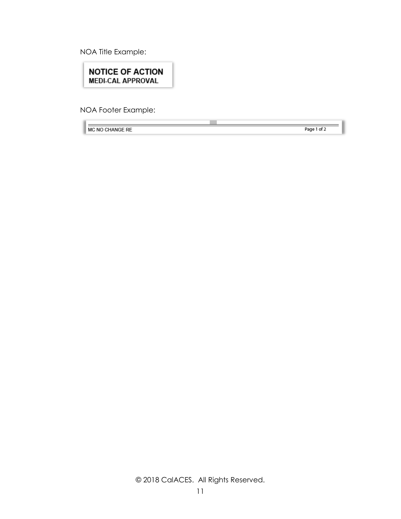NOA Title Example:

**NOTICE OF ACTION MEDI-CAL APPROVAL** 

NOA Footer Example:

MC NO CHANGE RE

Page 1 of 2

© 2018 CalACES. All Rights Reserved.

**COL**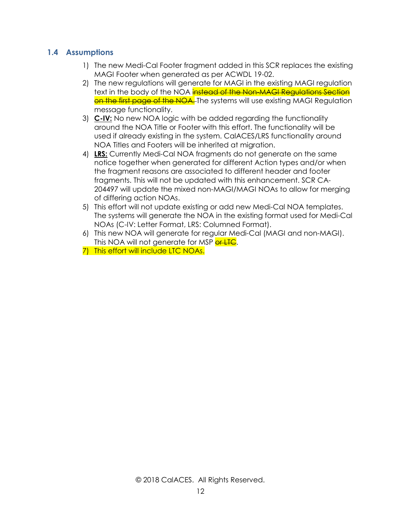#### <span id="page-11-0"></span>**1.4 Assumptions**

- 1) The new Medi-Cal Footer fragment added in this SCR replaces the existing MAGI Footer when generated as per ACWDL 19-02.
- 2) The new regulations will generate for MAGI in the existing MAGI regulation text in the body of the NOA **instead of the Non-MAGI Requigtions Section** on the first page of the NOA. The systems will use existing MAGI Regulation message functionality.
- 3) **C-IV:** No new NOA logic with be added regarding the functionality around the NOA Title or Footer with this effort. The functionality will be used if already existing in the system. CalACES/LRS functionality around NOA Titles and Footers will be inherited at migration.
- 4) **LRS:** Currently Medi-Cal NOA fragments do not generate on the same notice together when generated for different Action types and/or when the fragment reasons are associated to different header and footer fragments. This will not be updated with this enhancement. SCR CA-204497 will update the mixed non-MAGI/MAGI NOAs to allow for merging of differing action NOAs.
- 5) This effort will not update existing or add new Medi-Cal NOA templates. The systems will generate the NOA in the existing format used for Medi-Cal NOAs (C-IV: Letter Format, LRS: Columned Format).
- 6) This new NOA will generate for regular Medi-Cal (MAGI and non-MAGI). This NOA will not generate for MSP or LTC.
- 7) This effort will include LTC NOAs.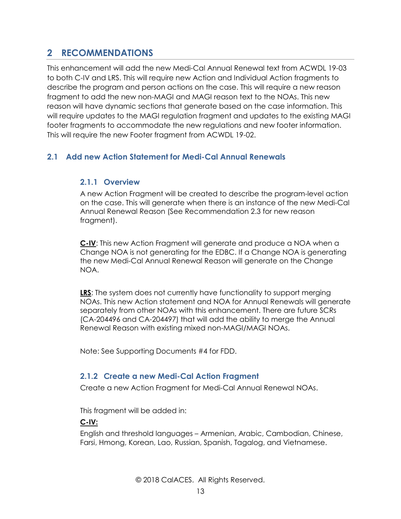## <span id="page-12-0"></span>**2 RECOMMENDATIONS**

This enhancement will add the new Medi-Cal Annual Renewal text from ACWDL 19-03 to both C-IV and LRS. This will require new Action and Individual Action fragments to describe the program and person actions on the case. This will require a new reason fragment to add the new non-MAGI and MAGI reason text to the NOAs. This new reason will have dynamic sections that generate based on the case information. This will require updates to the MAGI regulation fragment and updates to the existing MAGI footer fragments to accommodate the new regulations and new footer information. This will require the new Footer fragment from ACWDL 19-02.

#### <span id="page-12-2"></span><span id="page-12-1"></span>**2.1 Add new Action Statement for Medi-Cal Annual Renewals**

#### **2.1.1 Overview**

A new Action Fragment will be created to describe the program-level action on the case. This will generate when there is an instance of the new Medi-Cal Annual Renewal Reason (See Recommendation 2.3 for new reason fragment).

**C-IV**: This new Action Fragment will generate and produce a NOA when a Change NOA is not generating for the EDBC. If a Change NOA is generating the new Medi-Cal Annual Renewal Reason will generate on the Change NOA.

**LRS**: The system does not currently have functionality to support merging NOAs. This new Action statement and NOA for Annual Renewals will generate separately from other NOAs with this enhancement. There are future SCRs (CA-204496 and CA-204497) that will add the ability to merge the Annual Renewal Reason with existing mixed non-MAGI/MAGI NOAs.

<span id="page-12-3"></span>Note: See Supporting Documents #4 for FDD.

#### **2.1.2 Create a new Medi-Cal Action Fragment**

Create a new Action Fragment for Medi-Cal Annual Renewal NOAs.

This fragment will be added in:

#### **C-IV:**

English and threshold languages – Armenian, Arabic, Cambodian, Chinese, Farsi, Hmong, Korean, Lao, Russian, Spanish, Tagalog, and Vietnamese.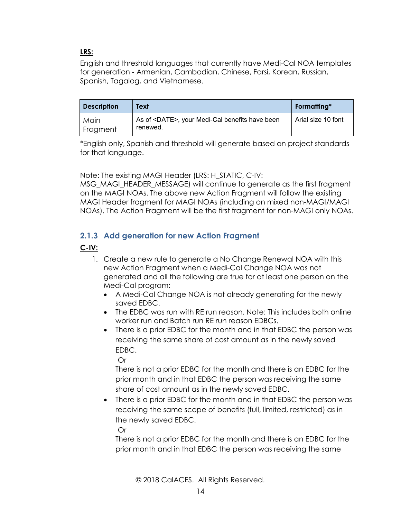#### **LRS:**

English and threshold languages that currently have Medi-Cal NOA templates for generation - Armenian, Cambodian, Chinese, Farsi, Korean, Russian, Spanish, Tagalog, and Vietnamese.

| <b>Description</b> | Text                                                               | Formatting*        |
|--------------------|--------------------------------------------------------------------|--------------------|
| Main<br>Fragment   | As of <date>, your Medi-Cal benefits have been<br/>renewed.</date> | Arial size 10 font |

\*English only, Spanish and threshold will generate based on project standards for that language.

Note: The existing MAGI Header (LRS: H\_STATIC, C-IV:

MSG\_MAGI\_HEADER\_MESSAGE) will continue to generate as the first fragment on the MAGI NOAs. The above new Action Fragment will follow the existing MAGI Header fragment for MAGI NOAs (including on mixed non-MAGI/MAGI NOAs). The Action Fragment will be the first fragment for non-MAGI only NOAs.

#### <span id="page-13-0"></span>**2.1.3 Add generation for new Action Fragment**

#### **C-IV:**

- 1. Create a new rule to generate a No Change Renewal NOA with this new Action Fragment when a Medi-Cal Change NOA was not generated and all the following are true for at least one person on the Medi-Cal program:
	- A Medi-Cal Change NOA is not already generating for the newly saved EDBC.
	- The EDBC was run with RE run reason. Note: This includes both online worker run and Batch run RE run reason EDBCs.
	- There is a prior EDBC for the month and in that EDBC the person was receiving the same share of cost amount as in the newly saved EDBC.

Or

There is not a prior EDBC for the month and there is an EDBC for the prior month and in that EDBC the person was receiving the same share of cost amount as in the newly saved EDBC.

• There is a prior EDBC for the month and in that EDBC the person was receiving the same scope of benefits (full, limited, restricted) as in the newly saved EDBC.

Or

There is not a prior EDBC for the month and there is an EDBC for the prior month and in that EDBC the person was receiving the same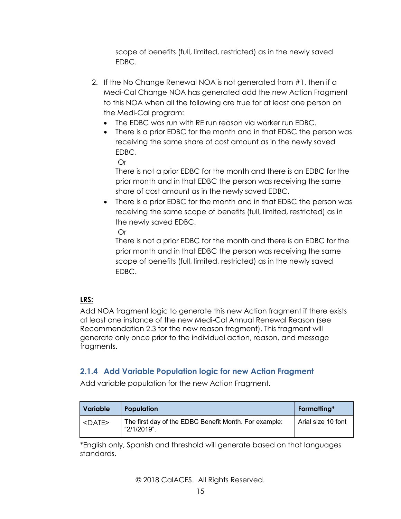scope of benefits (full, limited, restricted) as in the newly saved EDBC.

- 2. If the No Change Renewal NOA is not generated from #1, then if a Medi-Cal Change NOA has generated add the new Action Fragment to this NOA when all the following are true for at least one person on the Medi-Cal program:
	- The EDBC was run with RE run reason via worker run EDBC.
	- There is a prior EDBC for the month and in that EDBC the person was receiving the same share of cost amount as in the newly saved EDBC.

Or

There is not a prior EDBC for the month and there is an EDBC for the prior month and in that EDBC the person was receiving the same share of cost amount as in the newly saved EDBC.

• There is a prior EDBC for the month and in that EDBC the person was receiving the same scope of benefits (full, limited, restricted) as in the newly saved EDBC.

Or

There is not a prior EDBC for the month and there is an EDBC for the prior month and in that EDBC the person was receiving the same scope of benefits (full, limited, restricted) as in the newly saved EDBC.

#### **LRS:**

Add NOA fragment logic to generate this new Action fragment if there exists at least one instance of the new Medi-Cal Annual Renewal Reason (see Recommendation 2.3 for the new reason fragment). This fragment will generate only once prior to the individual action, reason, and message fragments.

#### <span id="page-14-0"></span>**2.1.4 Add Variable Population logic for new Action Fragment**

Add variable population for the new Action Fragment.

| Variable     | <b>Population</b>                                                    | Formatting*        |
|--------------|----------------------------------------------------------------------|--------------------|
| $<$ DATE $>$ | The first day of the EDBC Benefit Month. For example:<br>"2/1/2019". | Arial size 10 font |

\*English only, Spanish and threshold will generate based on that languages standards.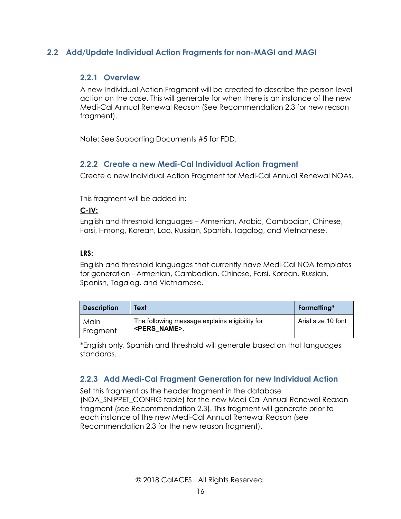#### <span id="page-15-1"></span><span id="page-15-0"></span>**2.2 Add/Update Individual Action Fragments for non-MAGI and MAGI**

#### **2.2.1 Overview**

A new Individual Action Fragment will be created to describe the person-level action on the case. This will generate for when there is an instance of the new Medi-Cal Annual Renewal Reason (See Recommendation 2.3 for new reason fragment).

<span id="page-15-2"></span>Note: See Supporting Documents #5 for FDD.

#### **2.2.2 Create a new Medi-Cal Individual Action Fragment**

Create a new Individual Action Fragment for Medi-Cal Annual Renewal NOAs.

This fragment will be added in:

#### **C-IV:**

English and threshold languages – Armenian, Arabic, Cambodian, Chinese, Farsi, Hmong, Korean, Lao, Russian, Spanish, Tagalog, and Vietnamese.

#### **LRS:**

English and threshold languages that currently have Medi-Cal NOA templates for generation - Armenian, Cambodian, Chinese, Farsi, Korean, Russian, Spanish, Tagalog, and Vietnamese.

| <b>Description</b> | Text                                                                     | Formatting*        |
|--------------------|--------------------------------------------------------------------------|--------------------|
| Main<br>Fragment   | The following message explains eligibility for<br><pers name="">.</pers> | Arial size 10 font |

\*English only, Spanish and threshold will generate based on that languages standards.

#### <span id="page-15-3"></span>**2.2.3 Add Medi-Cal Fragment Generation for new Individual Action**

Set this fragment as the header fragment in the database (NOA\_SNIPPET\_CONFIG table) for the new Medi-Cal Annual Renewal Reason fragment (see Recommendation 2.3). This fragment will generate prior to each instance of the new Medi-Cal Annual Renewal Reason (see Recommendation 2.3 for the new reason fragment).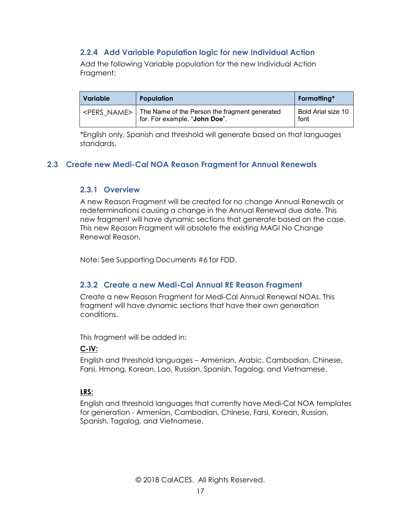#### <span id="page-16-0"></span>**2.2.4 Add Variable Population logic for new Individual Action**

Add the following Variable population for the new Individual Action Fraament:

| <b>Variable</b> | <b>Population</b>                                                                                       | Formatting*                |
|-----------------|---------------------------------------------------------------------------------------------------------|----------------------------|
|                 | <pers name="">   The Name of the Person the fragment generated<br/>for. For example, "John Doe".</pers> | Bold Arial size 10<br>font |

\*English only, Spanish and threshold will generate based on that languages standards.

#### <span id="page-16-2"></span><span id="page-16-1"></span>**2.3 Create new Medi-Cal NOA Reason Fragment for Annual Renewals**

#### **2.3.1 Overview**

A new Reason Fragment will be created for no change Annual Renewals or redeterminations causing a change in the Annual Renewal due date. This new fragment will have dynamic sections that generate based on the case. This new Reason Fragment will obsolete the existing MAGI No Change Renewal Reason.

<span id="page-16-3"></span>Note: See Supporting Documents #6 for FDD.

#### **2.3.2 Create a new Medi-Cal Annual RE Reason Fragment**

Create a new Reason Fragment for Medi-Cal Annual Renewal NOAs. This fragment will have dynamic sections that have their own generation conditions.

This fragment will be added in:

#### **C-IV:**

English and threshold languages – Armenian, Arabic, Cambodian, Chinese, Farsi, Hmong, Korean, Lao, Russian, Spanish, Tagalog, and Vietnamese.

#### **LRS:**

English and threshold languages that currently have Medi-Cal NOA templates for generation - Armenian, Cambodian, Chinese, Farsi, Korean, Russian, Spanish, Tagalog, and Vietnamese.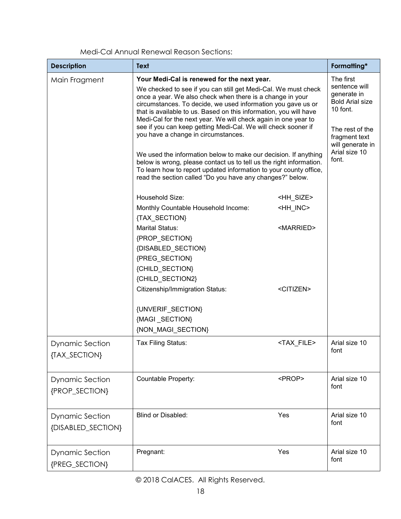| <b>Description</b>                           | <b>Text</b>                                                                                                                                                                                                                                                                                                                                                                                                                                                                                                                                                                                                                         |                                         | Formatting*                                                                                                                                                       |
|----------------------------------------------|-------------------------------------------------------------------------------------------------------------------------------------------------------------------------------------------------------------------------------------------------------------------------------------------------------------------------------------------------------------------------------------------------------------------------------------------------------------------------------------------------------------------------------------------------------------------------------------------------------------------------------------|-----------------------------------------|-------------------------------------------------------------------------------------------------------------------------------------------------------------------|
| Main Fragment                                | Your Medi-Cal is renewed for the next year.<br>We checked to see if you can still get Medi-Cal. We must check<br>once a year. We also check when there is a change in your<br>circumstances. To decide, we used information you gave us or<br>that is available to us. Based on this information, you will have<br>Medi-Cal for the next year. We will check again in one year to<br>see if you can keep getting Medi-Cal. We will check sooner if<br>you have a change in circumstances.<br>We used the information below to make our decision. If anything<br>below is wrong, please contact us to tell us the right information. |                                         | The first<br>sentence will<br>generate in<br><b>Bold Arial size</b><br>10 font.<br>The rest of the<br>fragment text<br>will generate in<br>Arial size 10<br>font. |
|                                              | To learn how to report updated information to your county office,<br>read the section called "Do you have any changes?" below.                                                                                                                                                                                                                                                                                                                                                                                                                                                                                                      |                                         |                                                                                                                                                                   |
|                                              | Household Size:<br>Monthly Countable Household Income:<br>{TAX_SECTION}                                                                                                                                                                                                                                                                                                                                                                                                                                                                                                                                                             | <hh size=""><br/><hh_inc></hh_inc></hh> |                                                                                                                                                                   |
|                                              | Marital Status:<br>{PROP_SECTION}<br>{DISABLED_SECTION}<br>{PREG_SECTION}<br>{CHILD_SECTION}<br>{CHILD_SECTION2}                                                                                                                                                                                                                                                                                                                                                                                                                                                                                                                    | <married></married>                     |                                                                                                                                                                   |
|                                              | <b>Citizenship/Immigration Status:</b><br>{UNVERIF_SECTION}<br>{MAGI_SECTION}<br>{NON_MAGI_SECTION}                                                                                                                                                                                                                                                                                                                                                                                                                                                                                                                                 | <citizen></citizen>                     |                                                                                                                                                                   |
| <b>Dynamic Section</b><br>{TAX_SECTION}      | Tax Filing Status:                                                                                                                                                                                                                                                                                                                                                                                                                                                                                                                                                                                                                  | <tax_file></tax_file>                   | Arial size 10<br>font                                                                                                                                             |
| <b>Dynamic Section</b><br>{PROP_SECTION}     | Countable Property:                                                                                                                                                                                                                                                                                                                                                                                                                                                                                                                                                                                                                 | <prop></prop>                           | Arial size 10<br>font                                                                                                                                             |
| <b>Dynamic Section</b><br>{DISABLED_SECTION} | <b>Blind or Disabled:</b>                                                                                                                                                                                                                                                                                                                                                                                                                                                                                                                                                                                                           | Yes                                     | Arial size 10<br>font                                                                                                                                             |
| <b>Dynamic Section</b><br>{PREG_SECTION}     | Pregnant:                                                                                                                                                                                                                                                                                                                                                                                                                                                                                                                                                                                                                           | Yes                                     | Arial size 10<br>font                                                                                                                                             |

Medi-Cal Annual Renewal Reason Sections: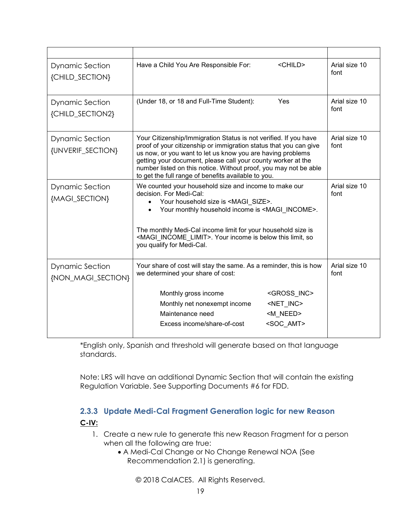| <b>Dynamic Section</b><br>{CHILD_SECTION}    | <child><br/>Have a Child You Are Responsible For:</child>                                                                                                                                                                                                                                                                                                                                      | Arial size 10<br>font |
|----------------------------------------------|------------------------------------------------------------------------------------------------------------------------------------------------------------------------------------------------------------------------------------------------------------------------------------------------------------------------------------------------------------------------------------------------|-----------------------|
| <b>Dynamic Section</b><br>{CHILD_SECTION2}   | (Under 18, or 18 and Full-Time Student):<br>Yes                                                                                                                                                                                                                                                                                                                                                | Arial size 10<br>font |
| <b>Dynamic Section</b><br>{UNVERIF_SECTION}  | Your Citizenship/Immigration Status is not verified. If you have<br>proof of your citizenship or immigration status that you can give<br>us now, or you want to let us know you are having problems<br>getting your document, please call your county worker at the<br>number listed on this notice. Without proof, you may not be able<br>to get the full range of benefits available to you. | Arial size 10<br>font |
| <b>Dynamic Section</b><br>{MAGI_SECTION}     | We counted your household size and income to make our<br>decision. For Medi-Cal:<br>Your household size is <magi size="">.<br/>Your monthly household income is <magi income="">.<br/>The monthly Medi-Cal income limit for your household size is<br/><magi_income_limit>. Your income is below this limit, so<br/>you qualify for Medi-Cal.</magi_income_limit></magi></magi>                | Arial size 10<br>font |
| <b>Dynamic Section</b><br>{NON_MAGI_SECTION} | Your share of cost will stay the same. As a reminder, this is how<br>we determined your share of cost:<br>Monthly gross income<br><gross inc=""><br/>Monthly net nonexempt income<br/><net_inc><br/>Maintenance need<br/><m need=""><br/><soc amt=""><br/>Excess income/share-of-cost</soc></m></net_inc></gross>                                                                              | Arial size 10<br>font |

\*English only, Spanish and threshold will generate based on that language standards.

Note: LRS will have an additional Dynamic Section that will contain the existing Regulation Variable. See Supporting Documents #6 for FDD.

#### <span id="page-18-0"></span>**2.3.3 Update Medi-Cal Fragment Generation logic for new Reason C-IV:**

- 1. Create a new rule to generate this new Reason Fragment for a person when all the following are true:
	- A Medi-Cal Change or No Change Renewal NOA (See Recommendation 2.1) is generating.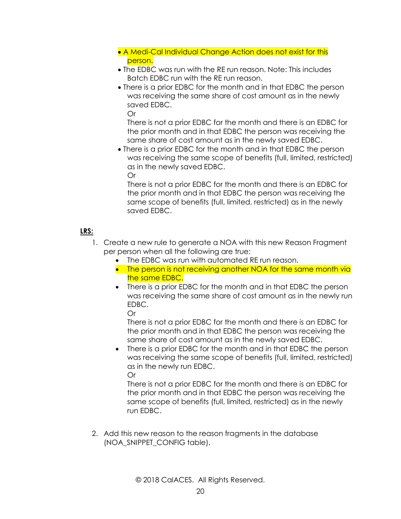- A Medi-Cal Individual Change Action does not exist for this person.
- The EDBC was run with the RE run reason. Note: This includes Batch EDBC run with the RE run reason.
- There is a prior EDBC for the month and in that EDBC the person was receiving the same share of cost amount as in the newly saved EDBC.

Or

There is not a prior EDBC for the month and there is an EDBC for the prior month and in that EDBC the person was receiving the same share of cost amount as in the newly saved EDBC.

• There is a prior EDBC for the month and in that EDBC the person was receiving the same scope of benefits (full, limited, restricted) as in the newly saved EDBC. Or

There is not a prior EDBC for the month and there is an EDBC for the prior month and in that EDBC the person was receiving the same scope of benefits (full, limited, restricted) as in the newly saved EDBC.

#### **LRS:**

- 1. Create a new rule to generate a NOA with this new Reason Fragment per person when all the following are true:
	- The EDBC was run with automated RE run reason.
	- The person is not receiving another NOA for the same month via the same EDBC.
	- There is a prior EDBC for the month and in that EDBC the person was receiving the same share of cost amount as in the newly run EDBC.

Or

There is not a prior EDBC for the month and there is an EDBC for the prior month and in that EDBC the person was receiving the same share of cost amount as in the newly saved EDBC.

• There is a prior EDBC for the month and in that EDBC the person was receiving the same scope of benefits (full, limited, restricted) as in the newly run EDBC. Or

There is not a prior EDBC for the month and there is an EDBC for the prior month and in that EDBC the person was receiving the same scope of benefits (full, limited, restricted) as in the newly run EDBC.

2. Add this new reason to the reason fragments in the database (NOA\_SNIPPET\_CONFIG table).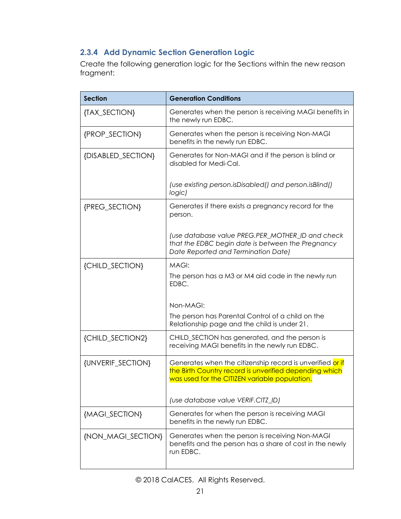### <span id="page-20-0"></span>**2.3.4 Add Dynamic Section Generation Logic**

Create the following generation logic for the Sections within the new reason fragment:

| <b>Section</b>     | <b>Generation Conditions</b>                                                                                                                                         |
|--------------------|----------------------------------------------------------------------------------------------------------------------------------------------------------------------|
| {TAX_SECTION}      | Generates when the person is receiving MAGI benefits in<br>the newly run EDBC.                                                                                       |
| {PROP_SECTION}     | Generates when the person is receiving Non-MAGI<br>benefits in the newly run EDBC.                                                                                   |
| {DISABLED_SECTION} | Generates for Non-MAGI and if the person is blind or<br>disabled for Medi-Cal.                                                                                       |
|                    | (use existing person.isDisabled() and person.isBlind()<br>logic)                                                                                                     |
| {PREG_SECTION}     | Generates if there exists a pregnancy record for the<br>person.                                                                                                      |
|                    | (use database value PREG.PER_MOTHER_ID and check<br>that the EDBC begin date is between the Pregnancy<br>Date Reported and Termination Date)                         |
| {CHILD_SECTION}    | MAGI:<br>The person has a M3 or M4 aid code in the newly run<br>EDBC.                                                                                                |
|                    | Non-MAGI:<br>The person has Parental Control of a child on the<br>Relationship page and the child is under 21.                                                       |
| {CHILD_SECTION2}   | CHILD_SECTION has generated, and the person is<br>receiving MAGI benefits in the newly run EDBC.                                                                     |
| {UNVERIF_SECTION}  | Generates when the citizenship record is unverified or if<br>the Birth Country record is unverified depending which<br>was used for the CITIZEN variable population. |
|                    | (use database value VERIF.CITZ_ID)                                                                                                                                   |
| {MAGI_SECTION}     | Generates for when the person is receiving MAGI<br>benefits in the newly run EDBC.                                                                                   |
| {NON_MAGI_SECTION} | Generates when the person is receiving Non-MAGI<br>benefits and the person has a share of cost in the newly<br>run EDBC.                                             |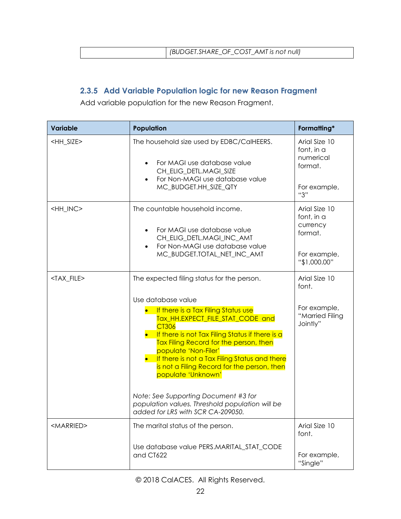| (BUDGET. SHARE OF COST AMT is not null) |
|-----------------------------------------|
|                                         |

### <span id="page-21-0"></span>**2.3.5 Add Variable Population logic for new Reason Fragment**

Add variable population for the new Reason Fragment.

| <b>Variable</b>       | Population                                                                                                                                                                                                                                                                                                                                                                                                                                                                                                                             | Formatting*                                                                        |
|-----------------------|----------------------------------------------------------------------------------------------------------------------------------------------------------------------------------------------------------------------------------------------------------------------------------------------------------------------------------------------------------------------------------------------------------------------------------------------------------------------------------------------------------------------------------------|------------------------------------------------------------------------------------|
| <hh_size></hh_size>   | The household size used by EDBC/CalHEERS.<br>For MAGI use database value<br>$\bullet$<br>CH_ELIG_DETL.MAGI_SIZE<br>For Non-MAGI use database value<br>$\bullet$<br>MC_BUDGET.HH_SIZE_QTY                                                                                                                                                                                                                                                                                                                                               | Arial Size 10<br>font, in a<br>numerical<br>format.<br>For example,<br>"3"         |
| <hh_inc></hh_inc>     | The countable household income.<br>For MAGI use database value<br>$\bullet$<br>CH_ELIG_DETL.MAGI_INC_AMT<br>For Non-MAGI use database value<br>$\bullet$<br>MC_BUDGET.TOTAL_NET_INC_AMT                                                                                                                                                                                                                                                                                                                                                | Arial Size 10<br>font, in a<br>currency<br>format.<br>For example,<br>"\$1,000.00" |
| <tax_file></tax_file> | The expected filing status for the person.<br>Use database value<br>If there is a Tax Filing Status use<br>Tax_HH.EXPECT_FILE_STAT_CODE and<br><b>CT306</b><br>If there is not Tax Filing Status if there is a<br>Tax Filing Record for the person, then<br>populate 'Non-Filer'<br>If there is not a Tax Filing Status and there<br>is not a Filing Record for the person, then<br>populate 'Unknown'<br>Note: See Supporting Document #3 for<br>population values. Threshold population will be<br>added for LRS with SCR CA-209050. | Arial Size 10<br>font.<br>For example,<br>"Married Filing<br>Jointly"              |
| <married></married>   | The marital status of the person.<br>Use database value PERS.MARITAL_STAT_CODE<br>and CT622                                                                                                                                                                                                                                                                                                                                                                                                                                            | Arial Size 10<br>font.<br>For example,<br>"Single"                                 |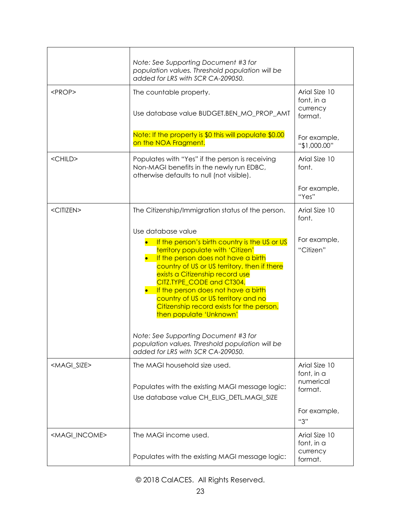|                             | Note: See Supporting Document #3 for<br>population values. Threshold population will be<br>added for LRS with SCR CA-209050.                                                                                                                                                                                                                                                                                                                                   |                                                     |
|-----------------------------|----------------------------------------------------------------------------------------------------------------------------------------------------------------------------------------------------------------------------------------------------------------------------------------------------------------------------------------------------------------------------------------------------------------------------------------------------------------|-----------------------------------------------------|
| <prop></prop>               | The countable property.<br>Use database value BUDGET.BEN_MO_PROP_AMT                                                                                                                                                                                                                                                                                                                                                                                           | Arial Size 10<br>font, in a<br>currency<br>format.  |
|                             | Note: If the property is \$0 this will populate \$0.00<br>on the NOA Fragment.                                                                                                                                                                                                                                                                                                                                                                                 | For example,<br>"\$1,000.00"                        |
| <child></child>             | Populates with "Yes" if the person is receiving<br>Non-MAGI benefits in the newly run EDBC,<br>otherwise defaults to null (not visible).                                                                                                                                                                                                                                                                                                                       | Arial Size 10<br>font.                              |
|                             |                                                                                                                                                                                                                                                                                                                                                                                                                                                                | For example,<br>"Yes"                               |
| <citizen></citizen>         | The Citizenship/Immigration status of the person.                                                                                                                                                                                                                                                                                                                                                                                                              | Arial Size 10<br>font.                              |
|                             | Use database value<br>If the person's birth country is the US or US<br>territory populate with 'Citizen'<br>If the person does not have a birth<br>country of US or US territory, then if there<br>exists a Citizenship record use<br>CITZ.TYPE CODE and CT304.<br>If the person does not have a birth<br>country of US or US territory and no<br>Citizenship record exists for the person,<br>then populate 'Unknown'<br>Note: See Supporting Document #3 for | For example,<br>"Citizen"                           |
|                             | population values. Threshold population will be<br>added for LRS with SCR CA-209050.                                                                                                                                                                                                                                                                                                                                                                           |                                                     |
| <magi_size></magi_size>     | The MAGI household size used.<br>Populates with the existing MAGI message logic:<br>Use database value CH_ELIG_DETL.MAGI_SIZE                                                                                                                                                                                                                                                                                                                                  | Arial Size 10<br>font, in a<br>numerical<br>format. |
|                             |                                                                                                                                                                                                                                                                                                                                                                                                                                                                | For example,<br>"3"                                 |
| <magi_income></magi_income> | The MAGI income used.<br>Populates with the existing MAGI message logic:                                                                                                                                                                                                                                                                                                                                                                                       | Arial Size 10<br>font, in a<br>currency<br>format.  |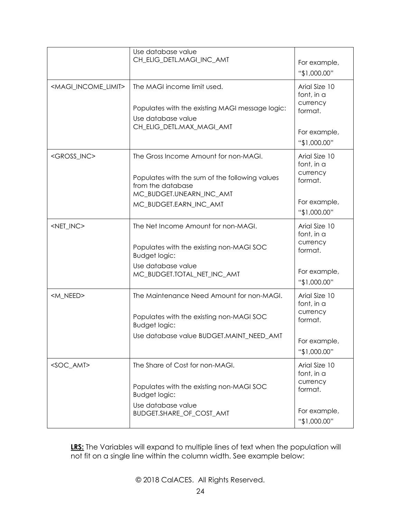|                                         | Use database value<br>CH_ELIG_DETL.MAGI_INC_AMT                                                 | For example,<br>"\$1,000.00"            |
|-----------------------------------------|-------------------------------------------------------------------------------------------------|-----------------------------------------|
| <magi_income_limit></magi_income_limit> | The MAGI income limit used.                                                                     | Arial Size 10<br>font, in a<br>currency |
|                                         | Populates with the existing MAGI message logic:<br>Use database value                           | format.                                 |
|                                         | CH_ELIG_DETL.MAX_MAGI_AMT                                                                       | For example,<br>"\$1,000.00"            |
| <gross_inc></gross_inc>                 | The Gross Income Amount for non-MAGI.                                                           | Arial Size 10<br>font, in a<br>currency |
|                                         | Populates with the sum of the following values<br>from the database<br>MC_BUDGET.UNEARN_INC_AMT | format.                                 |
|                                         | MC BUDGET.EARN INC AMT                                                                          | For example,<br>"\$1,000.00"            |
| <net_inc></net_inc>                     | The Net Income Amount for non-MAGI.                                                             | Arial Size 10<br>font, in a<br>currency |
|                                         | Populates with the existing non-MAGI SOC<br><b>Budget logic:</b>                                | format.                                 |
|                                         | Use database value<br>MC_BUDGET.TOTAL_NET_INC_AMT                                               | For example,<br>"\$1,000.00"            |
| <m_need></m_need>                       | The Maintenance Need Amount for non-MAGI.                                                       | Arial Size 10<br>font, in a             |
|                                         | Populates with the existing non-MAGI SOC<br><b>Budget logic:</b>                                | currency<br>format.                     |
|                                         | Use database value BUDGET.MAINT_NEED_AMT                                                        | For example,<br>"\$1,000.00"            |
| <soc_amt></soc_amt>                     | The Share of Cost for non-MAGI.                                                                 | Arial Size 10<br>font, in a             |
|                                         | Populates with the existing non-MAGI SOC<br><b>Budget logic:</b>                                | currency<br>format.                     |
|                                         | Use database value<br>BUDGET.SHARE_OF_COST_AMT                                                  | For example,<br>"\$1,000.00"            |

**LRS:** The Variables will expand to multiple lines of text when the population will not fit on a single line within the column width. See example below: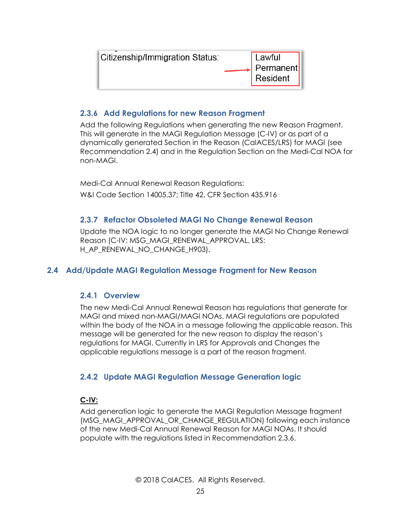| Citizenship/Immigration Status: | Lawful                  |
|---------------------------------|-------------------------|
|                                 | ↓ Permanent<br>Resident |
|                                 |                         |

#### <span id="page-24-0"></span>**2.3.6 Add Regulations for new Reason Fragment**

Add the following Regulations when generating the new Reason Fragment. This will generate in the MAGI Regulation Message (C-IV) or as part of a dynamically generated Section in the Reason (CalACES/LRS) for MAGI (see Recommendation 2.4) and in the Regulation Section on the Medi-Cal NOA for non-MAGI.

Medi-Cal Annual Renewal Reason Regulations: W&I Code Section 14005.37; Title 42, CFR Section 435.916

#### <span id="page-24-1"></span>**2.3.7 Refactor Obsoleted MAGI No Change Renewal Reason**

Update the NOA logic to no longer generate the MAGI No Change Renewal Reason (C-IV: MSG\_MAGI\_RENEWAL\_APPROVAL, LRS: H\_AP\_RENEWAL\_NO\_CHANGE\_H903).

#### <span id="page-24-3"></span><span id="page-24-2"></span>**2.4 Add/Update MAGI Regulation Message Fragment for New Reason**

#### **2.4.1 Overview**

The new Medi-Cal Annual Renewal Reason has regulations that generate for MAGI and mixed non-MAGI/MAGI NOAs. MAGI regulations are populated within the body of the NOA in a message following the applicable reason. This message will be generated for the new reason to display the reason's regulations for MAGI. Currently in LRS for Approvals and Changes the applicable regulations message is a part of the reason fragment.

#### <span id="page-24-4"></span>**2.4.2 Update MAGI Regulation Message Generation logic**

#### **C-IV:**

Add generation logic to generate the MAGI Regulation Message fragment (MSG\_MAGI\_APPROVAL\_OR\_CHANGE\_REGULATION) following each instance of the new Medi-Cal Annual Renewal Reason for MAGI NOAs. It should populate with the regulations listed in Recommendation 2.3.6.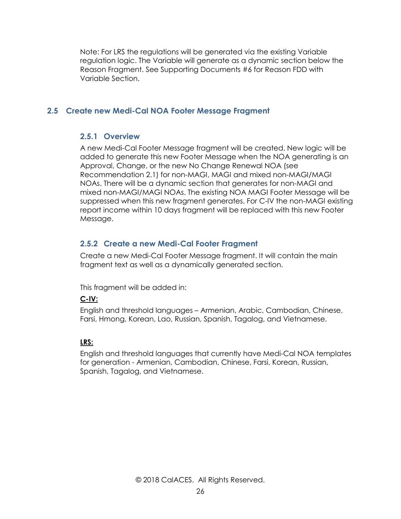Note: For LRS the regulations will be generated via the existing Variable regulation logic. The Variable will generate as a dynamic section below the Reason Fragment. See Supporting Documents #6 for Reason FDD with Variable Section.

#### <span id="page-25-1"></span><span id="page-25-0"></span>**2.5 Create new Medi-Cal NOA Footer Message Fragment**

#### **2.5.1 Overview**

A new Medi-Cal Footer Message fragment will be created. New logic will be added to generate this new Footer Message when the NOA generating is an Approval, Change, or the new No Change Renewal NOA (see Recommendation 2.1) for non-MAGI, MAGI and mixed non-MAGI/MAGI NOAs. There will be a dynamic section that generates for non-MAGI and mixed non-MAGI/MAGI NOAs. The existing NOA MAGI Footer Message will be suppressed when this new fragment generates. For C-IV the non-MAGI existing report income within 10 days fragment will be replaced with this new Footer Message.

#### <span id="page-25-2"></span>**2.5.2 Create a new Medi-Cal Footer Fragment**

Create a new Medi-Cal Footer Message fragment. It will contain the main fragment text as well as a dynamically generated section.

This fragment will be added in:

#### **C-IV:**

English and threshold languages – Armenian, Arabic, Cambodian, Chinese, Farsi, Hmong, Korean, Lao, Russian, Spanish, Tagalog, and Vietnamese.

#### **LRS:**

English and threshold languages that currently have Medi-Cal NOA templates for generation - Armenian, Cambodian, Chinese, Farsi, Korean, Russian, Spanish, Tagalog, and Vietnamese.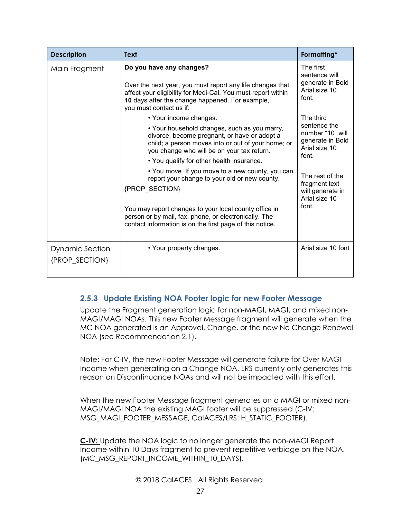| <b>Description</b>                       | <b>Text</b>                                                                                                                                                                                                                                                                                                                                                                                                                                                                                                                                                                  | Formatting*                                                                                                                                                                   |
|------------------------------------------|------------------------------------------------------------------------------------------------------------------------------------------------------------------------------------------------------------------------------------------------------------------------------------------------------------------------------------------------------------------------------------------------------------------------------------------------------------------------------------------------------------------------------------------------------------------------------|-------------------------------------------------------------------------------------------------------------------------------------------------------------------------------|
| Main Fragment                            | Do you have any changes?<br>Over the next year, you must report any life changes that<br>affect your eligibility for Medi-Cal. You must report within<br>10 days after the change happened. For example,<br>you must contact us if:                                                                                                                                                                                                                                                                                                                                          | The first<br>sentence will<br>generate in Bold<br>Arial size 10<br>font.                                                                                                      |
|                                          | • Your income changes.<br>• Your household changes, such as you marry,<br>divorce, become pregnant, or have or adopt a<br>child; a person moves into or out of your home; or<br>you change who will be on your tax return.<br>• You qualify for other health insurance.<br>• You move. If you move to a new county, you can<br>report your change to your old or new county.<br>{PROP SECTION}<br>You may report changes to your local county office in<br>person or by mail, fax, phone, or electronically. The<br>contact information is on the first page of this notice. | The third<br>sentence the<br>number "10" will<br>generate in Bold<br>Arial size 10<br>font.<br>The rest of the<br>fragment text<br>will generate in<br>Arial size 10<br>font. |
| <b>Dynamic Section</b><br>{PROP_SECTION} | • Your property changes.                                                                                                                                                                                                                                                                                                                                                                                                                                                                                                                                                     | Arial size 10 font                                                                                                                                                            |

#### <span id="page-26-0"></span>**2.5.3 Update Existing NOA Footer logic for new Footer Message**

Update the Fragment generation logic for non-MAGI, MAGI, and mixed non-MAGI/MAGI NOAs. This new Footer Message fragment will generate when the MC NOA generated is an Approval, Change, or the new No Change Renewal NOA (see Recommendation 2.1).

Note: For C-IV, the new Footer Message will generate failure for Over MAGI Income when generating on a Change NOA. LRS currently only generates this reason on Discontinuance NOAs and will not be impacted with this effort.

When the new Footer Message fragment generates on a MAGI or mixed non-MAGI/MAGI NOA the existing MAGI footer will be suppressed (C-IV: MSG\_MAGI\_FOOTER\_MESSAGE, CalACES/LRS: H\_STATIC\_FOOTER).

**C-IV:** Update the NOA logic to no longer generate the non-MAGI Report Income within 10 Days fragment to prevent repetitive verbiage on the NOA. (MC\_MSG\_REPORT\_INCOME\_WITHIN\_10\_DAYS).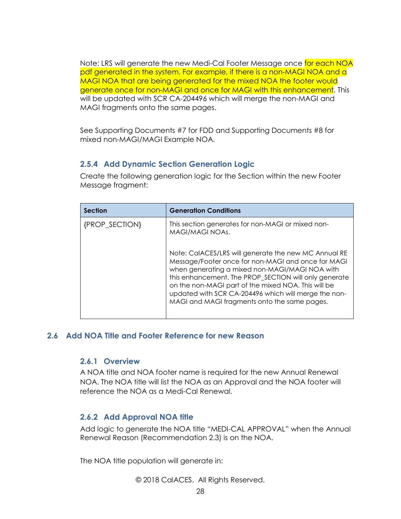Note: LRS will generate the new Medi-Cal Footer Message once for each NOA pdf generated in the system. For example, if there is a non-MAGI NOA and a MAGI NOA that are being generated for the mixed NOA the footer would generate once for non-MAGI and once for MAGI with this enhancement. This will be updated with SCR CA-204496 which will merge the non-MAGI and MAGI fragments onto the same pages.

See Supporting Documents #7 for FDD and Supporting Documents #8 for mixed non-MAGI/MAGI Example NOA.

#### <span id="page-27-0"></span>**2.5.4 Add Dynamic Section Generation Logic**

Create the following generation logic for the Section within the new Footer Message fragment:

| <b>Section</b> | <b>Generation Conditions</b>                                                                                                                                                                                                                                                                                                                                                         |
|----------------|--------------------------------------------------------------------------------------------------------------------------------------------------------------------------------------------------------------------------------------------------------------------------------------------------------------------------------------------------------------------------------------|
| {PROP_SECTION} | This section generates for non-MAGI or mixed non-<br>MAGI/MAGI NOAs.                                                                                                                                                                                                                                                                                                                 |
|                | Note: CalACES/LRS will generate the new MC Annual RE<br>Message/Footer once for non-MAGI and once for MAGI<br>when generating a mixed non-MAGI/MAGI NOA with<br>this enhancement. The PROP_SECTION will only generate<br>on the non-MAGI part of the mixed NOA. This will be<br>updated with SCR CA-204496 which will merge the non-<br>MAGI and MAGI fragments onto the same pages. |

#### <span id="page-27-2"></span><span id="page-27-1"></span>**2.6 Add NOA Title and Footer Reference for new Reason**

#### **2.6.1 Overview**

A NOA title and NOA footer name is required for the new Annual Renewal NOA. The NOA title will list the NOA as an Approval and the NOA footer will reference the NOA as a Medi-Cal Renewal.

#### <span id="page-27-3"></span>**2.6.2 Add Approval NOA title**

Add logic to generate the NOA title "MEDI-CAL APPROVAL" when the Annual Renewal Reason (Recommendation 2.3) is on the NOA.

The NOA title population will generate in: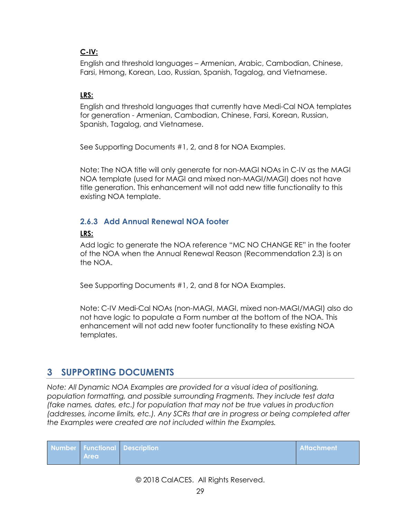#### **C-IV:**

English and threshold languages – Armenian, Arabic, Cambodian, Chinese, Farsi, Hmong, Korean, Lao, Russian, Spanish, Tagalog, and Vietnamese.

#### **LRS:**

English and threshold languages that currently have Medi-Cal NOA templates for generation - Armenian, Cambodian, Chinese, Farsi, Korean, Russian, Spanish, Tagalog, and Vietnamese.

See Supporting Documents #1, 2, and 8 for NOA Examples.

Note: The NOA title will only generate for non-MAGI NOAs in C-IV as the MAGI NOA template (used for MAGI and mixed non-MAGI/MAGI) does not have title generation. This enhancement will not add new title functionality to this existing NOA template.

#### <span id="page-28-0"></span>**2.6.3 Add Annual Renewal NOA footer**

#### **LRS:**

Add logic to generate the NOA reference "MC NO CHANGE RE" in the footer of the NOA when the Annual Renewal Reason (Recommendation 2.3) is on the NOA.

See Supporting Documents #1, 2, and 8 for NOA Examples.

Note: C-IV Medi-Cal NOAs (non-MAGI, MAGI, mixed non-MAGI/MAGI) also do not have logic to populate a Form number at the bottom of the NOA. This enhancement will not add new footer functionality to these existing NOA templates.

### <span id="page-28-1"></span>**3 SUPPORTING DOCUMENTS**

*Note: All Dynamic NOA Examples are provided for a visual idea of positioning, population formatting, and possible surrounding Fragments. They include test data (fake names, dates, etc.) for population that may not be true values in production (addresses, income limits, etc.). Any SCRs that are in progress or being completed after the Examples were created are not included within the Examples.* 

| <b>Area</b> | Number Functional Description | <b>Attachment</b> |
|-------------|-------------------------------|-------------------|
|             |                               |                   |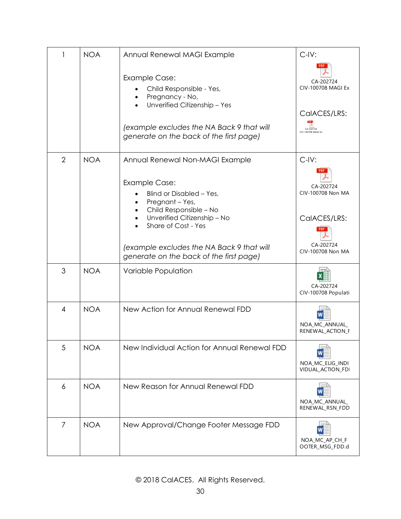|                | <b>NOA</b> | Annual Renewal MAGI Example                                                                                                                                | $C$ -IV:                                        |
|----------------|------------|------------------------------------------------------------------------------------------------------------------------------------------------------------|-------------------------------------------------|
|                |            | <b>Example Case:</b><br>Child Responsible - Yes,<br>Pregnancy - No,<br>Unverified Citizenship - Yes<br>$\bullet$                                           | CA-202724<br>CIV-100708 MAGI Ex<br>CalACES/LRS: |
|                |            | (example excludes the NA Back 9 that will<br>generate on the back of the first page)                                                                       | CA-202724<br>CIV-100708 MAGI Ex                 |
| $\overline{2}$ | <b>NOA</b> | Annual Renewal Non-MAGI Example<br><b>Example Case:</b><br>Blind or Disabled - Yes,<br>Pregnant - Yes,<br>$\bullet$<br>Child Responsible - No<br>$\bullet$ | $C$ -IV:<br>CA-202724<br>CIV-100708 Non MA      |
|                |            | Unverified Citizenship - No<br>$\bullet$<br>Share of Cost - Yes<br>(example excludes the NA Back 9 that will<br>generate on the back of the first page)    | CalACES/LRS:<br>CA-202724<br>CIV-100708 Non MA  |
| 3              | <b>NOA</b> | Variable Population                                                                                                                                        | CA-202724<br>CIV-100708 Populati                |
| 4              | <b>NOA</b> | New Action for Annual Renewal FDD                                                                                                                          | NOA_MC_ANNUAL_<br>RENEWAL ACTION F              |
| 5              | <b>NOA</b> | New Individual Action for Annual Renewal FDD                                                                                                               | NOA_MC_ELIG_INDI<br>VIDUAL ACTION_FDI           |
| 6              | <b>NOA</b> | New Reason for Annual Renewal FDD                                                                                                                          | NOA_MC_ANNUAL_<br>RENEWAL_RSN_FDD               |
| 7              | <b>NOA</b> | New Approval/Change Footer Message FDD                                                                                                                     | NOA_MC_AP_CH_F<br>OOTER_MSG_FDD.d               |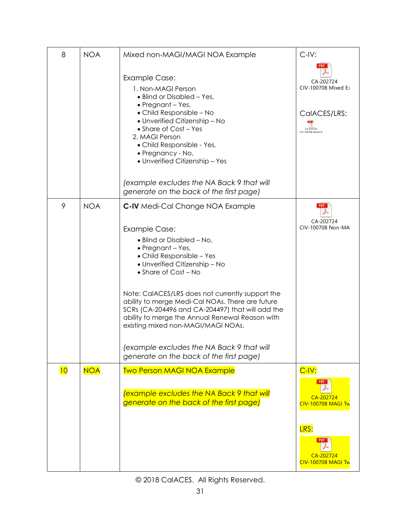| 8  | <b>NOA</b> | Mixed non-MAGI/MAGI NOA Example                                                                                                                                                                                                                                                                                                                                                                                                                                                                           | $C$ -IV:                                                                                                    |
|----|------------|-----------------------------------------------------------------------------------------------------------------------------------------------------------------------------------------------------------------------------------------------------------------------------------------------------------------------------------------------------------------------------------------------------------------------------------------------------------------------------------------------------------|-------------------------------------------------------------------------------------------------------------|
|    |            | <b>Example Case:</b><br>1. Non-MAGI Person<br>• Blind or Disabled - Yes,<br>• Pregnant - Yes,<br>• Child Responsible - No<br>• Unverified Citizenship - No<br>• Share of Cost - Yes<br>2. MAGI Person<br>· Child Responsible - Yes,<br>· Pregnancy - No,<br>• Unverified Citizenship - Yes<br>(example excludes the NA Back 9 that will<br>generate on the back of the first page)                                                                                                                        | CA-202724<br>CIV-100708 Mixed E<br>CalACES/LRS:<br>$CA - 202724$<br>CIV-100708 Mixed Ex                     |
| 9  | <b>NOA</b> | C-IV Medi-Cal Change NOA Example                                                                                                                                                                                                                                                                                                                                                                                                                                                                          | <b>PDF</b>                                                                                                  |
|    |            | <b>Example Case:</b><br>• Blind or Disabled – No,<br>• Pregnant - Yes,<br>• Child Responsible – Yes<br>• Unverified Citizenship - No<br>• Share of Cost - No<br>Note: CaIACES/LRS does not currently support the<br>ability to merge Medi-Cal NOAs. There are future<br>SCRs (CA-204496 and CA-204497) that will add the<br>ability to merge the Annual Renewal Reason with<br>existing mixed non-MAGI/MAGI NOAs.<br>(example excludes the NA Back 9 that will<br>generate on the back of the first page) | CA-202724<br>CIV-100708 Non-MA                                                                              |
| 10 | <b>NOA</b> | <b>Two Person MAGI NOA Example</b><br>example excludes the NA Back 9 that will<br>generate on the back of the first page)                                                                                                                                                                                                                                                                                                                                                                                 | $C$ -IV:<br>CA-202724<br><b>CIV-100708 MAGI Tw</b><br>LRS:<br>PDF<br>CA-202724<br><b>CIV-100708 MAGI Tw</b> |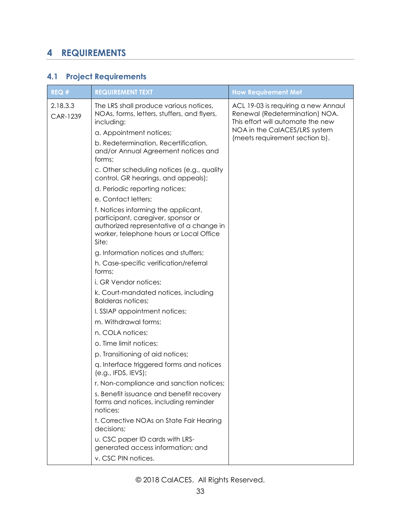## <span id="page-32-0"></span>**4 REQUIREMENTS**

## <span id="page-32-1"></span>**4.1 Project Requirements**

| REQ#                 | <b>REQUIREMENT TEXT</b>                                                                                                                                                                                                                                               | <b>How Requirement Met</b>                                                                                                                                                    |
|----------------------|-----------------------------------------------------------------------------------------------------------------------------------------------------------------------------------------------------------------------------------------------------------------------|-------------------------------------------------------------------------------------------------------------------------------------------------------------------------------|
| 2.18.3.3<br>CAR-1239 | The LRS shall produce various notices,<br>NOAs, forms, letters, stuffers, and flyers,<br>including:<br>a. Appointment notices;<br>b. Redetermination, Recertification,<br>and/or Annual Agreement notices and<br>forms;<br>c. Other scheduling notices (e.g., quality | ACL 19-03 is requiring a new Annaul<br>Renewal (Redetermination) NOA.<br>This effort will automate the new<br>NOA in the CalACES/LRS system<br>(meets requirement section b). |
|                      | control, GR hearings, and appeals);                                                                                                                                                                                                                                   |                                                                                                                                                                               |
|                      | d. Periodic reporting notices;                                                                                                                                                                                                                                        |                                                                                                                                                                               |
|                      | e. Contact letters;                                                                                                                                                                                                                                                   |                                                                                                                                                                               |
|                      | f. Notices informing the applicant,<br>participant, caregiver, sponsor or<br>authorized representative of a change in<br>worker, telephone hours or Local Office<br>Site;                                                                                             |                                                                                                                                                                               |
|                      | g. Information notices and stuffers;                                                                                                                                                                                                                                  |                                                                                                                                                                               |
|                      | h. Case-specific verification/referral<br>forms;                                                                                                                                                                                                                      |                                                                                                                                                                               |
|                      | i. GR Vendor notices;                                                                                                                                                                                                                                                 |                                                                                                                                                                               |
|                      | k. Court-mandated notices, including<br><b>Balderas notices:</b>                                                                                                                                                                                                      |                                                                                                                                                                               |
|                      | I. SSIAP appointment notices;                                                                                                                                                                                                                                         |                                                                                                                                                                               |
|                      | m. Withdrawal forms;                                                                                                                                                                                                                                                  |                                                                                                                                                                               |
|                      | n. COLA notices;                                                                                                                                                                                                                                                      |                                                                                                                                                                               |
|                      | o. Time limit notices;                                                                                                                                                                                                                                                |                                                                                                                                                                               |
|                      | p. Transitioning of aid notices;                                                                                                                                                                                                                                      |                                                                                                                                                                               |
|                      | q. Interface triggered forms and notices<br>(e.g., IFDS, IFVS);                                                                                                                                                                                                       |                                                                                                                                                                               |
|                      | r. Non-compliance and sanction notices;                                                                                                                                                                                                                               |                                                                                                                                                                               |
|                      | s. Benefit issuance and benefit recovery<br>forms and notices, including reminder<br>notices;                                                                                                                                                                         |                                                                                                                                                                               |
|                      | t. Corrective NOAs on State Fair Hearing<br>decisions;                                                                                                                                                                                                                |                                                                                                                                                                               |
|                      | <b>u. CSC paper ID cards with LRS-</b><br>generated access information; and                                                                                                                                                                                           |                                                                                                                                                                               |
|                      | v. CSC PIN notices.                                                                                                                                                                                                                                                   |                                                                                                                                                                               |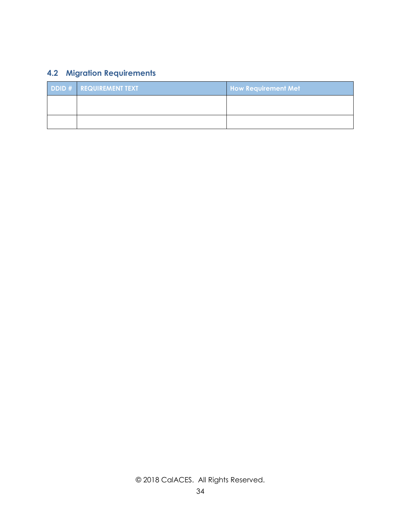## <span id="page-33-0"></span>**4.2 Migration Requirements**

| <b>DDID # REQUIREMENT TEXT</b> | <b>How Requirement Met</b> |  |
|--------------------------------|----------------------------|--|
|                                |                            |  |
|                                |                            |  |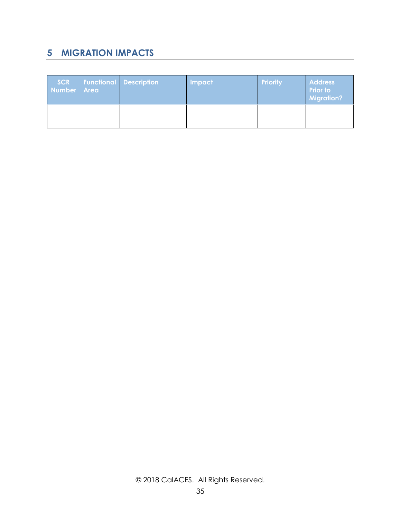## <span id="page-34-0"></span>**5 MIGRATION IMPACTS**

| <b>SCR</b><br>Number   Area | <b>Functional Description</b> | <b>Impact</b> | <b>Priority</b> | <b>Address</b><br><b>Prior to</b><br><b>Migration?</b> |
|-----------------------------|-------------------------------|---------------|-----------------|--------------------------------------------------------|
|                             |                               |               |                 |                                                        |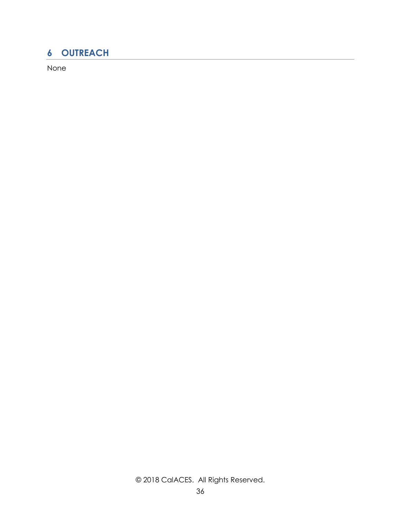## <span id="page-35-0"></span>**6 OUTREACH**

None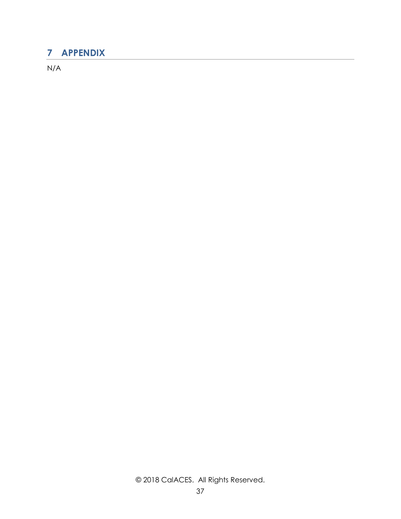## <span id="page-36-0"></span>**7 APPENDIX**

N/A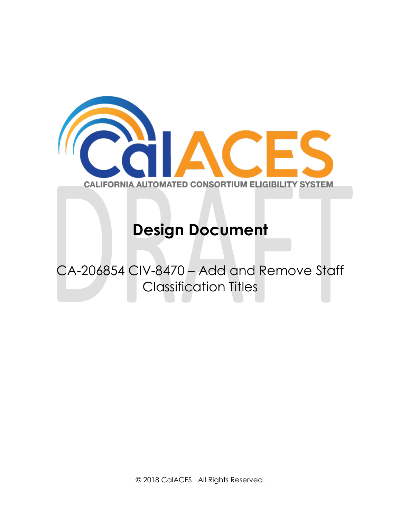

## **Design Document**

## CA-206854 CIV-8470 – Add and Remove Staff Classification Titles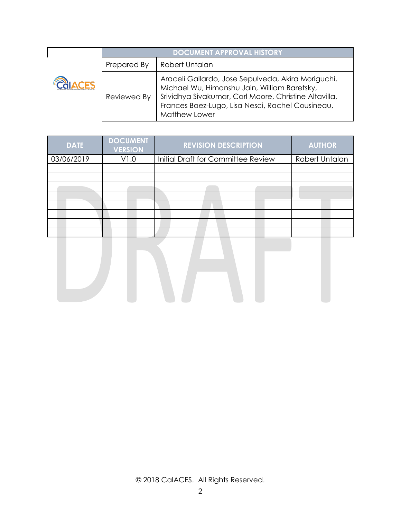| <b>DOCUMENT APPROVAL HISTORY</b> |                                                                                                                                                                                                                                  |  |
|----------------------------------|----------------------------------------------------------------------------------------------------------------------------------------------------------------------------------------------------------------------------------|--|
| Prepared By                      | Robert Untalan                                                                                                                                                                                                                   |  |
| Reviewed By                      | Araceli Gallardo, Jose Sepulveda, Akira Moriguchi,<br>Michael Wu, Himanshu Jain, William Baretsky,<br>Srividhya Sivakumar, Carl Moore, Christine Altavilla,<br>Frances Baez-Lugo, Lisa Nesci, Rachel Cousineau,<br>Matthew Lower |  |

| <b>DATE</b> | <b>DOCUMENT</b><br><b>VERSION</b> | <b>REVISION DESCRIPTION</b>        | <b>AUTHOR</b>  |
|-------------|-----------------------------------|------------------------------------|----------------|
| 03/06/2019  | V1.0                              | Initial Draft for Committee Review | Robert Untalan |
|             |                                   |                                    |                |
|             |                                   |                                    |                |
|             |                                   |                                    |                |
|             |                                   |                                    |                |
|             |                                   |                                    |                |
|             |                                   |                                    |                |
|             |                                   |                                    |                |
|             |                                   |                                    |                |

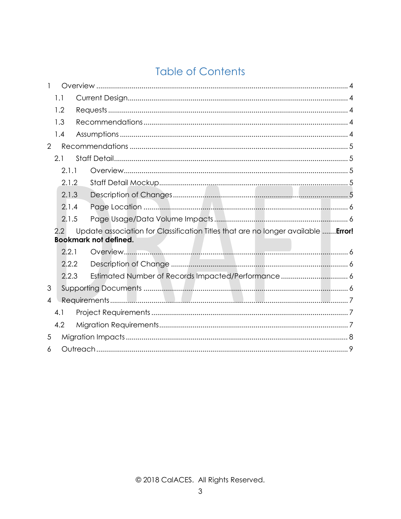## **Table of Contents**

|                | 1.1   |                                                                                                                   |
|----------------|-------|-------------------------------------------------------------------------------------------------------------------|
|                | 1.2   |                                                                                                                   |
|                | 1.3   |                                                                                                                   |
|                | 1.4   |                                                                                                                   |
| $\overline{2}$ |       |                                                                                                                   |
|                | 2.1   |                                                                                                                   |
|                | 2.1.1 |                                                                                                                   |
|                | 2.1.2 |                                                                                                                   |
|                | 2.1.3 |                                                                                                                   |
|                | 2.1.4 |                                                                                                                   |
|                | 2.1.5 |                                                                                                                   |
|                | 2.2   | Update association for Classification Titles that are no longer available  Error!<br><b>Bookmark not defined.</b> |
|                | 2.2.1 |                                                                                                                   |
|                | 2.2.2 |                                                                                                                   |
|                | 2.2.3 | Estimated Number of Records Impacted/Performance 6                                                                |
| 3              |       |                                                                                                                   |
| $\overline{4}$ |       |                                                                                                                   |
|                | 4.1   |                                                                                                                   |
|                | 4.2   |                                                                                                                   |
| 5              |       |                                                                                                                   |
| 6              |       |                                                                                                                   |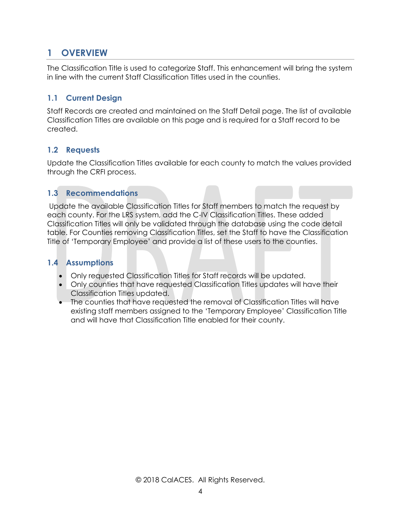## <span id="page-40-0"></span>**1 OVERVIEW**

The Classification Title is used to categorize Staff. This enhancement will bring the system in line with the current Staff Classification Titles used in the counties.

#### <span id="page-40-1"></span>**1.1 Current Design**

Staff Records are created and maintained on the Staff Detail page. The list of available Classification Titles are available on this page and is required for a Staff record to be created.

#### <span id="page-40-2"></span>**1.2 Requests**

Update the Classification Titles available for each county to match the values provided through the CRFI process.

#### <span id="page-40-3"></span>**1.3 Recommendations**

Update the available Classification Titles for Staff members to match the request by each county. For the LRS system, add the C-IV Classification Titles. These added Classification Titles will only be validated through the database using the code detail table. For Counties removing Classification Titles, set the Staff to have the Classification Title of 'Temporary Employee' and provide a list of these users to the counties.

#### <span id="page-40-4"></span>**1.4 Assumptions**

- Only requested Classification Titles for Staff records will be updated.
- Only counties that have requested Classification Titles updates will have their Classification Titles updated.
- The counties that have requested the removal of Classification Titles will have existing staff members assigned to the 'Temporary Employee' Classification Title and will have that Classification Title enabled for their county.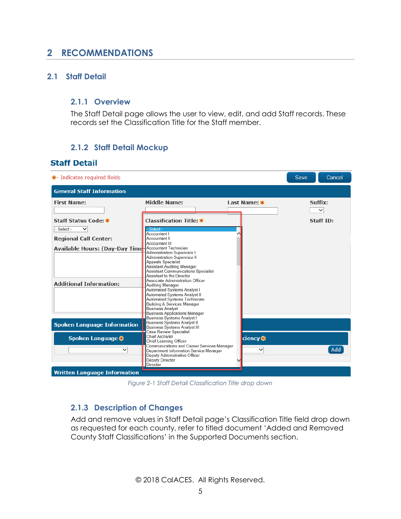## <span id="page-41-0"></span>**2 RECOMMENDATIONS**

#### <span id="page-41-2"></span><span id="page-41-1"></span>**2.1 Staff Detail**

#### **2.1.1 Overview**

The Staff Detail page allows the user to view, edit, and add Staff records. These records set the Classification Title for the Staff member.

#### <span id="page-41-3"></span>**2.1.2 Staff Detail Mockup**

#### **Staff Detail**



*Figure 2-1 Staff Detail Classification Title drop down*

#### <span id="page-41-4"></span>**2.1.3 Description of Changes**

Add and remove values in Staff Detail page's Classification Title field drop down as requested for each county, refer to titled document 'Added and Removed County Staff Classifications' in the Supported Documents section.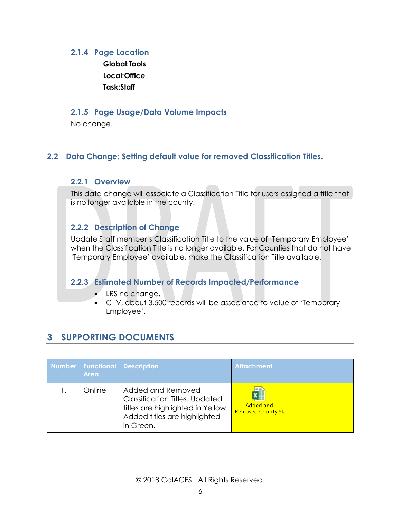#### <span id="page-42-0"></span>**2.1.4 Page Location**

**Global:Tools Local:Office Task:Staff**

#### <span id="page-42-1"></span>**2.1.5 Page Usage/Data Volume Impacts**

No change.

#### <span id="page-42-2"></span>**2.2 Data Change: Setting default value for removed Classification Titles.**

#### **2.2.1 Overview**

This data change will associate a Classification Title for users assigned a title that is no longer available in the county.

#### <span id="page-42-3"></span>**2.2.2 Description of Change**

Update Staff member's Classification Title to the value of 'Temporary Employee' when the Classification Title is no longer available. For Counties that do not have 'Temporary Employee' available, make the Classification Title available.

#### <span id="page-42-4"></span>**2.2.3 Estimated Number of Records Impacted/Performance**

- LRS no change.
- C-IV, about 3,500 records will be associated to value of 'Temporary Employee'.

## <span id="page-42-5"></span>**3 SUPPORTING DOCUMENTS**

| <b>Area</b> | Number Functional Description                                                                                                                | <b>Attachment</b>                                   |
|-------------|----------------------------------------------------------------------------------------------------------------------------------------------|-----------------------------------------------------|
| Online      | Added and Removed<br><b>Classification Titles. Updated</b><br>titles are highlighted in Yellow.<br>Added titles are highlighted<br>in Green. | ×≣<br><b>Added and</b><br><b>Removed County Sta</b> |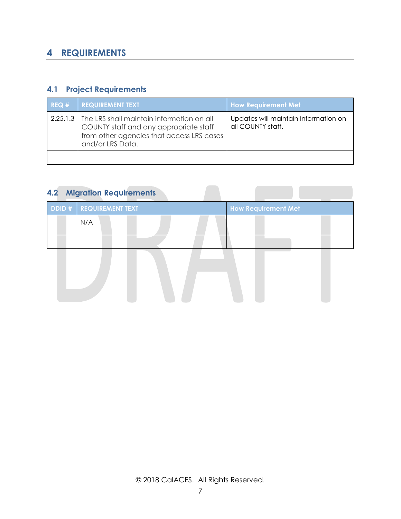## <span id="page-43-0"></span>**4 REQUIREMENTS**

#### <span id="page-43-1"></span>**4.1 Project Requirements**

| REQ# | <b>REQUIREMENT TEXT</b>                                                                                                                                         | <b>How Requirement Met</b>                                |
|------|-----------------------------------------------------------------------------------------------------------------------------------------------------------------|-----------------------------------------------------------|
|      | 2.25.1.3   The LRS shall maintain information on all<br>COUNTY staff and any appropriate staff<br>from other agencies that access LRS cases<br>and/or LRS Data. | Updates will maintain information on<br>all COUNTY staff. |
|      |                                                                                                                                                                 |                                                           |

## <span id="page-43-2"></span>**4.2 Migration Requirements**

| <b>DDID # REQUIREMENT TEXT</b> | <b>How Requirement Met</b> |
|--------------------------------|----------------------------|
| N/A                            |                            |
|                                |                            |
|                                |                            |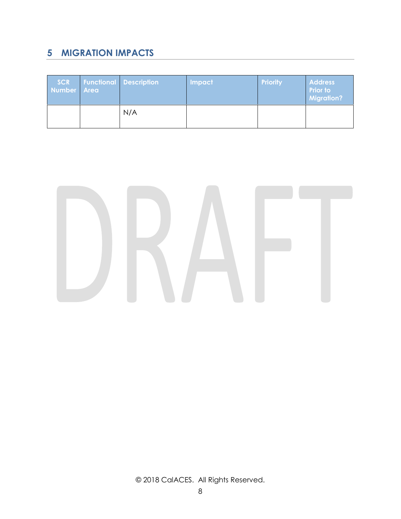## <span id="page-44-0"></span>**5 MIGRATION IMPACTS**

| <b>SCR</b><br>Number Area | <b>Functional Description</b> | Impact | <b>Priority</b> | <b>Address</b><br><b>Prior to</b><br><b>Migration?</b> |
|---------------------------|-------------------------------|--------|-----------------|--------------------------------------------------------|
|                           | N/A                           |        |                 |                                                        |